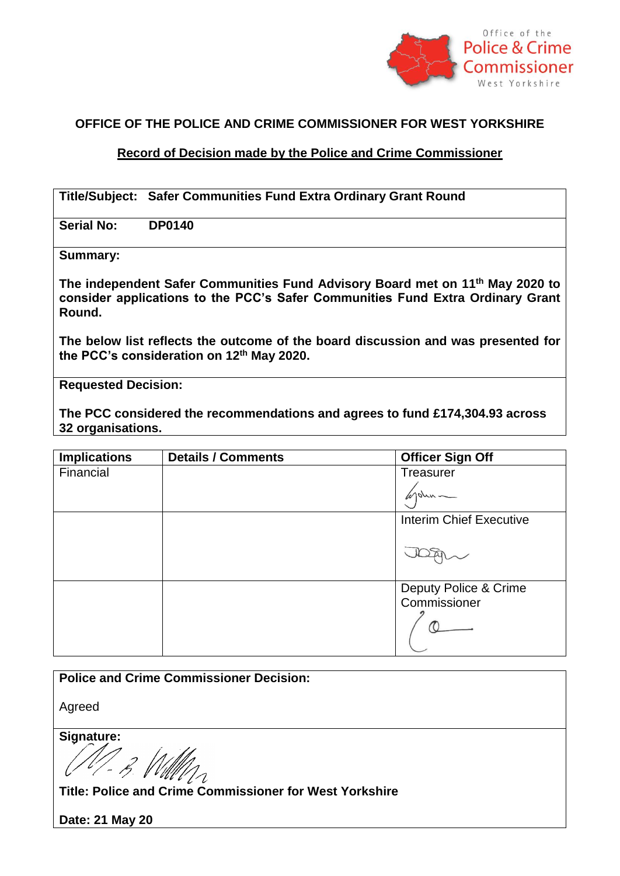

## **OFFICE OF THE POLICE AND CRIME COMMISSIONER FOR WEST YORKSHIRE**

## **Record of Decision made by the Police and Crime Commissioner**

| Title/Subject: Safer Communities Fund Extra Ordinary Grant Round |
|------------------------------------------------------------------|
|                                                                  |

**Serial No: DP0140**

**Summary:**

**The independent Safer Communities Fund Advisory Board met on 11th May 2020 to consider applications to the PCC's Safer Communities Fund Extra Ordinary Grant Round.** 

**The below list reflects the outcome of the board discussion and was presented for the PCC's consideration on 12th May 2020.** 

**Requested Decision:**

**The PCC considered the recommendations and agrees to fund £174,304.93 across 32 organisations.** 

| <b>Implications</b> | <b>Details / Comments</b> | <b>Officer Sign Off</b>               |
|---------------------|---------------------------|---------------------------------------|
| Financial           |                           | Treasurer                             |
|                     |                           | 10M                                   |
|                     |                           | <b>Interim Chief Executive</b>        |
|                     |                           |                                       |
|                     |                           |                                       |
|                     |                           |                                       |
|                     |                           | Deputy Police & Crime<br>Commissioner |
|                     |                           |                                       |
|                     |                           |                                       |

| <b>Police and Crime Commissioner Decision:</b>          |
|---------------------------------------------------------|
|                                                         |
|                                                         |
| Agreed                                                  |
|                                                         |
|                                                         |
| Signature:                                              |
|                                                         |
|                                                         |
|                                                         |
|                                                         |
|                                                         |
| Title: Police and Crime Commissioner for West Yorkshire |
|                                                         |
|                                                         |

**Date: 21 May 20**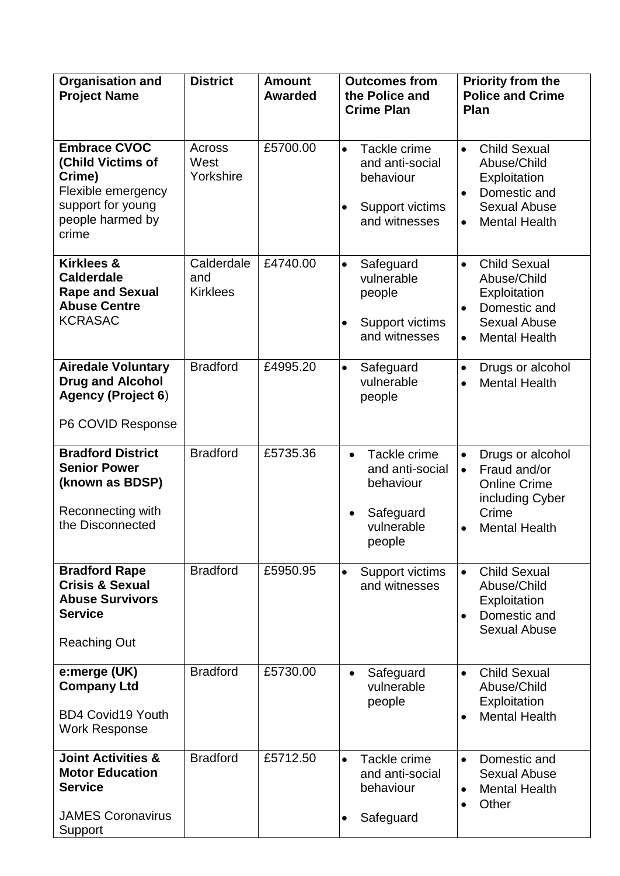| <b>Organisation and</b><br><b>Project Name</b>                                                                             | <b>District</b>                      | <b>Amount</b><br>Awarded | <b>Outcomes from</b><br>the Police and<br><b>Crime Plan</b>                                                | Priority from the<br><b>Police and Crime</b><br><b>Plan</b>                                                                                              |
|----------------------------------------------------------------------------------------------------------------------------|--------------------------------------|--------------------------|------------------------------------------------------------------------------------------------------------|----------------------------------------------------------------------------------------------------------------------------------------------------------|
| <b>Embrace CVOC</b><br>(Child Victims of<br>Crime)<br>Flexible emergency<br>support for young<br>people harmed by<br>crime | Across<br>West<br>Yorkshire          | £5700.00                 | Tackle crime<br>$\bullet$<br>and anti-social<br>behaviour<br>Support victims<br>$\bullet$<br>and witnesses | <b>Child Sexual</b><br>$\bullet$<br>Abuse/Child<br>Exploitation<br>Domestic and<br>$\bullet$<br><b>Sexual Abuse</b><br><b>Mental Health</b><br>$\bullet$ |
| <b>Kirklees &amp;</b><br><b>Calderdale</b><br><b>Rape and Sexual</b><br><b>Abuse Centre</b><br><b>KCRASAC</b>              | Calderdale<br>and<br><b>Kirklees</b> | £4740.00                 | Safeguard<br>$\bullet$<br>vulnerable<br>people<br>Support victims<br>$\bullet$<br>and witnesses            | <b>Child Sexual</b><br>$\bullet$<br>Abuse/Child<br>Exploitation<br>Domestic and<br>$\bullet$<br><b>Sexual Abuse</b><br><b>Mental Health</b><br>$\bullet$ |
| <b>Airedale Voluntary</b><br><b>Drug and Alcohol</b><br><b>Agency (Project 6)</b><br>P6 COVID Response                     | <b>Bradford</b>                      | £4995.20                 | $\bullet$<br>Safeguard<br>vulnerable<br>people                                                             | Drugs or alcohol<br>$\bullet$<br><b>Mental Health</b><br>$\bullet$                                                                                       |
| <b>Bradford District</b><br><b>Senior Power</b><br>(known as BDSP)<br>Reconnecting with<br>the Disconnected                | <b>Bradford</b>                      | £5735.36                 | Tackle crime<br>$\bullet$<br>and anti-social<br>behaviour<br>Safeguard<br>vulnerable<br>people             | Drugs or alcohol<br>$\bullet$<br>Fraud and/or<br>$\bullet$<br><b>Online Crime</b><br>including Cyber<br>Crime<br><b>Mental Health</b><br>$\bullet$       |
| <b>Bradford Rape</b><br><b>Crisis &amp; Sexual</b><br><b>Abuse Survivors</b><br><b>Service</b><br><b>Reaching Out</b>      | <b>Bradford</b>                      | £5950.95                 | Support victims<br>$\bullet$<br>and witnesses                                                              | <b>Child Sexual</b><br>$\bullet$<br>Abuse/Child<br>Exploitation<br>Domestic and<br><b>Sexual Abuse</b>                                                   |
| e:merge (UK)<br><b>Company Ltd</b><br><b>BD4 Covid19 Youth</b><br><b>Work Response</b>                                     | <b>Bradford</b>                      | £5730.00                 | Safeguard<br>$\bullet$<br>vulnerable<br>people                                                             | <b>Child Sexual</b><br>$\bullet$<br>Abuse/Child<br>Exploitation<br><b>Mental Health</b><br>$\bullet$                                                     |
| <b>Joint Activities &amp;</b><br><b>Motor Education</b><br><b>Service</b><br><b>JAMES Coronavirus</b><br>Support           | <b>Bradford</b>                      | £5712.50                 | Tackle crime<br>$\bullet$<br>and anti-social<br>behaviour<br>Safeguard<br>$\bullet$                        | Domestic and<br>$\bullet$<br><b>Sexual Abuse</b><br><b>Mental Health</b><br>Other<br>$\bullet$                                                           |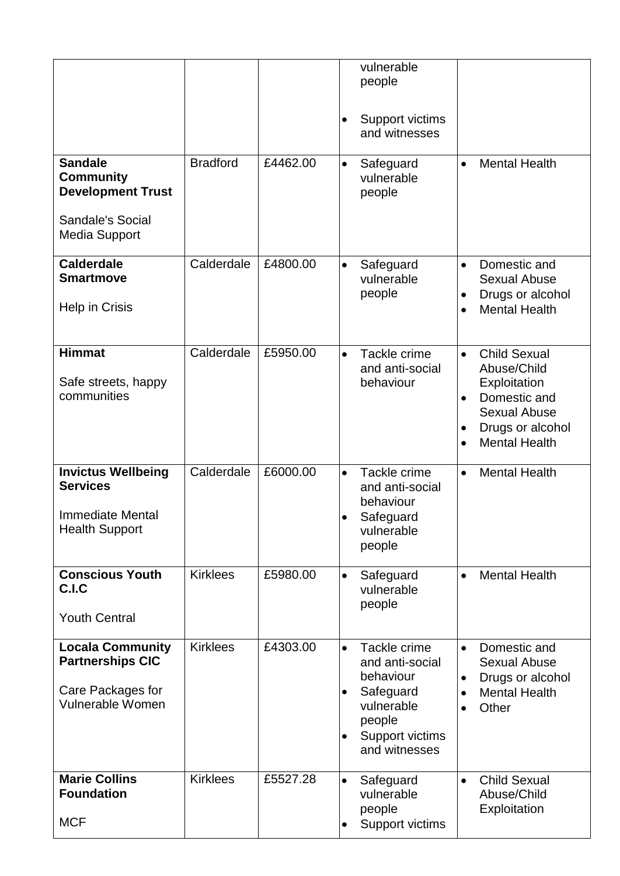|                                                                                                            |                 |          | vulnerable<br>people                                                                                                                                                                                                                                                               |
|------------------------------------------------------------------------------------------------------------|-----------------|----------|------------------------------------------------------------------------------------------------------------------------------------------------------------------------------------------------------------------------------------------------------------------------------------|
|                                                                                                            |                 |          | Support victims<br>$\bullet$<br>and witnesses                                                                                                                                                                                                                                      |
| <b>Sandale</b><br><b>Community</b><br><b>Development Trust</b><br>Sandale's Social<br><b>Media Support</b> | <b>Bradford</b> | £4462.00 | <b>Mental Health</b><br>Safeguard<br>$\bullet$<br>$\bullet$<br>vulnerable<br>people                                                                                                                                                                                                |
| <b>Calderdale</b><br><b>Smartmove</b><br>Help in Crisis                                                    | Calderdale      | £4800.00 | Domestic and<br>Safeguard<br>$\bullet$<br>$\bullet$<br>vulnerable<br><b>Sexual Abuse</b><br>people<br>Drugs or alcohol<br><b>Mental Health</b><br>$\bullet$                                                                                                                        |
| <b>Himmat</b><br>Safe streets, happy<br>communities                                                        | Calderdale      | £5950.00 | <b>Child Sexual</b><br>Tackle crime<br>$\bullet$<br>$\bullet$<br>Abuse/Child<br>and anti-social<br>behaviour<br>Exploitation<br>Domestic and<br>$\bullet$<br><b>Sexual Abuse</b><br>Drugs or alcohol<br><b>Mental Health</b><br>$\bullet$                                          |
| <b>Invictus Wellbeing</b><br><b>Services</b><br><b>Immediate Mental</b><br><b>Health Support</b>           | Calderdale      | £6000.00 | <b>Mental Health</b><br>Tackle crime<br>$\bullet$<br>$\bullet$<br>and anti-social<br>behaviour<br>Safeguard<br>$\bullet$<br>vulnerable<br>people                                                                                                                                   |
| <b>Conscious Youth</b><br>C.I.C<br><b>Youth Central</b>                                                    | <b>Kirklees</b> | £5980.00 | <b>Mental Health</b><br>Safeguard<br>$\bullet$<br>$\bullet$<br>vulnerable<br>people                                                                                                                                                                                                |
| <b>Locala Community</b><br><b>Partnerships CIC</b><br>Care Packages for<br><b>Vulnerable Women</b>         | <b>Kirklees</b> | £4303.00 | Tackle crime<br>Domestic and<br>$\bullet$<br>$\bullet$<br>and anti-social<br><b>Sexual Abuse</b><br>behaviour<br>Drugs or alcohol<br>Safeguard<br><b>Mental Health</b><br>$\bullet$<br>$\bullet$<br>vulnerable<br>Other<br>people<br>Support victims<br>$\bullet$<br>and witnesses |
| <b>Marie Collins</b><br><b>Foundation</b><br><b>MCF</b>                                                    | <b>Kirklees</b> | £5527.28 | <b>Child Sexual</b><br>Safeguard<br>$\bullet$<br>$\bullet$<br>vulnerable<br>Abuse/Child<br>people<br>Exploitation<br>Support victims                                                                                                                                               |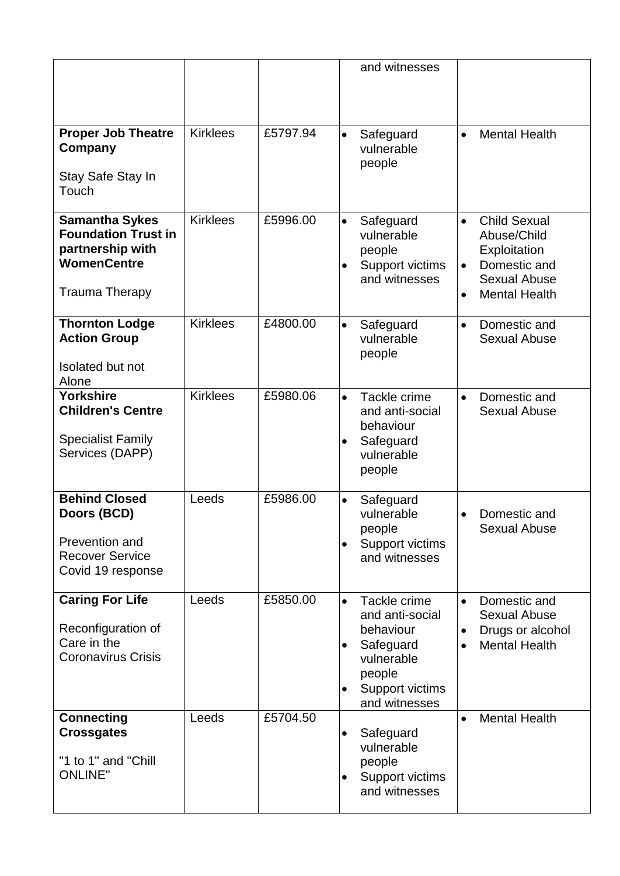|                                                                                                      |                 |          | and witnesses                                                                                                                                                                                                                                                |
|------------------------------------------------------------------------------------------------------|-----------------|----------|--------------------------------------------------------------------------------------------------------------------------------------------------------------------------------------------------------------------------------------------------------------|
| <b>Proper Job Theatre</b><br>Company<br>Stay Safe Stay In                                            | <b>Kirklees</b> | £5797.94 | <b>Mental Health</b><br>Safeguard<br>$\bullet$<br>$\bullet$<br>vulnerable<br>people                                                                                                                                                                          |
| Touch                                                                                                |                 |          |                                                                                                                                                                                                                                                              |
| <b>Samantha Sykes</b><br><b>Foundation Trust in</b><br>partnership with<br><b>WomenCentre</b>        | <b>Kirklees</b> | £5996.00 | <b>Child Sexual</b><br>Safeguard<br>$\bullet$<br>$\bullet$<br>vulnerable<br>Abuse/Child<br>people<br>Exploitation<br>Domestic and<br>Support victims<br>$\bullet$<br>and witnesses<br><b>Sexual Abuse</b>                                                    |
| <b>Trauma Therapy</b>                                                                                |                 |          | <b>Mental Health</b><br>$\bullet$                                                                                                                                                                                                                            |
| <b>Thornton Lodge</b><br><b>Action Group</b>                                                         | <b>Kirklees</b> | £4800.00 | Domestic and<br>$\bullet$<br>Safeguard<br>$\bullet$<br>vulnerable<br><b>Sexual Abuse</b><br>people                                                                                                                                                           |
| <b>Isolated but not</b><br>Alone                                                                     |                 |          |                                                                                                                                                                                                                                                              |
| <b>Yorkshire</b><br><b>Children's Centre</b><br><b>Specialist Family</b><br>Services (DAPP)          | <b>Kirklees</b> | £5980.06 | Tackle crime<br>Domestic and<br>$\bullet$<br>$\bullet$<br>and anti-social<br><b>Sexual Abuse</b><br>behaviour<br>Safeguard<br>$\bullet$<br>vulnerable<br>people                                                                                              |
| <b>Behind Closed</b><br>Doors (BCD)<br>Prevention and<br><b>Recover Service</b><br>Covid 19 response | Leeds           | £5986.00 | $\bullet$<br>Safeguard<br>vulnerable<br>Domestic and<br>people<br><b>Sexual Abuse</b><br>Support victims<br>$\bullet$<br>and witnesses                                                                                                                       |
| <b>Caring For Life</b><br>Reconfiguration of<br>Care in the<br><b>Coronavirus Crisis</b>             | Leeds           | £5850.00 | Tackle crime<br>Domestic and<br>$\bullet$<br>$\bullet$<br>and anti-social<br><b>Sexual Abuse</b><br>behaviour<br>Drugs or alcohol<br>Safeguard<br><b>Mental Health</b><br>$\bullet$<br>vulnerable<br>people<br>Support victims<br>$\bullet$<br>and witnesses |
| <b>Connecting</b><br><b>Crossgates</b><br>"1 to 1" and "Chill<br><b>ONLINE"</b>                      | Leeds           | £5704.50 | <b>Mental Health</b><br>$\bullet$<br>Safeguard<br>$\bullet$<br>vulnerable<br>people<br>Support victims<br>٠<br>and witnesses                                                                                                                                 |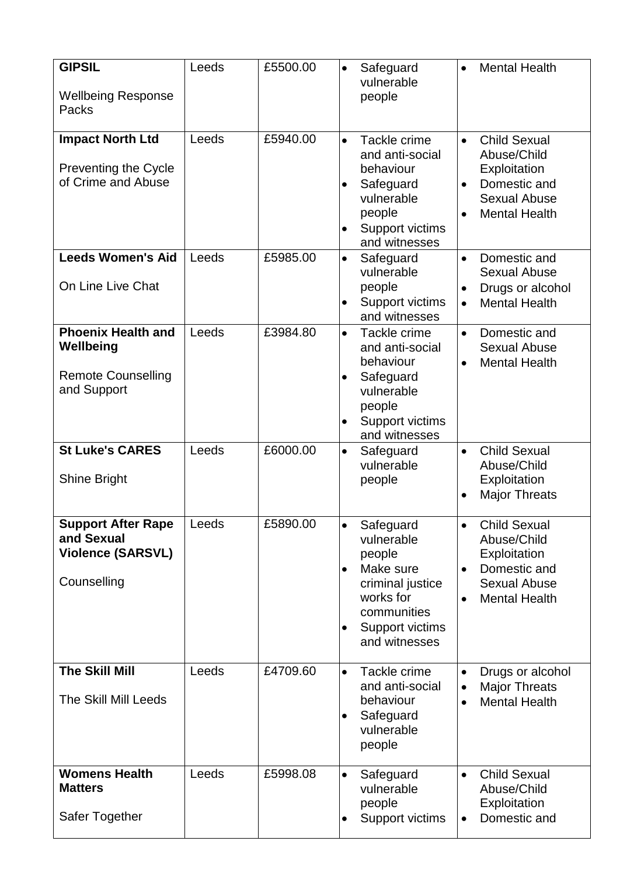| <b>GIPSIL</b><br><b>Wellbeing Response</b><br>Packs                                | Leeds | £5500.00 | $\bullet$                           | Safeguard<br>vulnerable<br>people                                                                                                  |                                     | <b>Mental Health</b>                                                                                              |
|------------------------------------------------------------------------------------|-------|----------|-------------------------------------|------------------------------------------------------------------------------------------------------------------------------------|-------------------------------------|-------------------------------------------------------------------------------------------------------------------|
| <b>Impact North Ltd</b><br><b>Preventing the Cycle</b><br>of Crime and Abuse       | Leeds | £5940.00 | $\bullet$<br>$\bullet$<br>$\bullet$ | Tackle crime<br>and anti-social<br>behaviour<br>Safeguard<br>vulnerable<br>people<br>Support victims<br>and witnesses              | $\bullet$<br>$\bullet$              | <b>Child Sexual</b><br>Abuse/Child<br>Exploitation<br>Domestic and<br><b>Sexual Abuse</b><br><b>Mental Health</b> |
| <b>Leeds Women's Aid</b><br>On Line Live Chat                                      | Leeds | £5985.00 | $\bullet$<br>$\bullet$              | Safeguard<br>vulnerable<br>people<br>Support victims<br>and witnesses                                                              | $\bullet$<br>$\bullet$              | Domestic and<br><b>Sexual Abuse</b><br>Drugs or alcohol<br><b>Mental Health</b>                                   |
| <b>Phoenix Health and</b><br>Wellbeing<br><b>Remote Counselling</b><br>and Support | Leeds | £3984.80 | $\bullet$<br>$\bullet$<br>$\bullet$ | Tackle crime<br>and anti-social<br>behaviour<br>Safeguard<br>vulnerable<br>people<br>Support victims<br>and witnesses              | $\bullet$                           | Domestic and<br><b>Sexual Abuse</b><br><b>Mental Health</b>                                                       |
| <b>St Luke's CARES</b><br>Shine Bright                                             | Leeds | £6000.00 | $\bullet$                           | Safeguard<br>vulnerable<br>people                                                                                                  |                                     | <b>Child Sexual</b><br>Abuse/Child<br>Exploitation<br><b>Major Threats</b>                                        |
| <b>Support After Rape</b><br>and Sexual<br><b>Violence (SARSVL)</b><br>Counselling | Leeds | £5890.00 | $\bullet$<br>$\bullet$<br>$\bullet$ | Safeguard<br>vulnerable<br>people<br>Make sure<br>criminal justice<br>works for<br>communities<br>Support victims<br>and witnesses |                                     | <b>Child Sexual</b><br>Abuse/Child<br>Exploitation<br>Domestic and<br><b>Sexual Abuse</b><br><b>Mental Health</b> |
| <b>The Skill Mill</b><br><b>The Skill Mill Leeds</b>                               | Leeds | £4709.60 | $\bullet$<br>$\bullet$              | Tackle crime<br>and anti-social<br>behaviour<br>Safeguard<br>vulnerable<br>people                                                  | $\bullet$<br>$\bullet$<br>$\bullet$ | Drugs or alcohol<br><b>Major Threats</b><br><b>Mental Health</b>                                                  |
| <b>Womens Health</b><br><b>Matters</b><br>Safer Together                           | Leeds | £5998.08 | $\bullet$<br>٠                      | Safeguard<br>vulnerable<br>people<br>Support victims                                                                               | $\bullet$                           | <b>Child Sexual</b><br>Abuse/Child<br>Exploitation<br>Domestic and                                                |